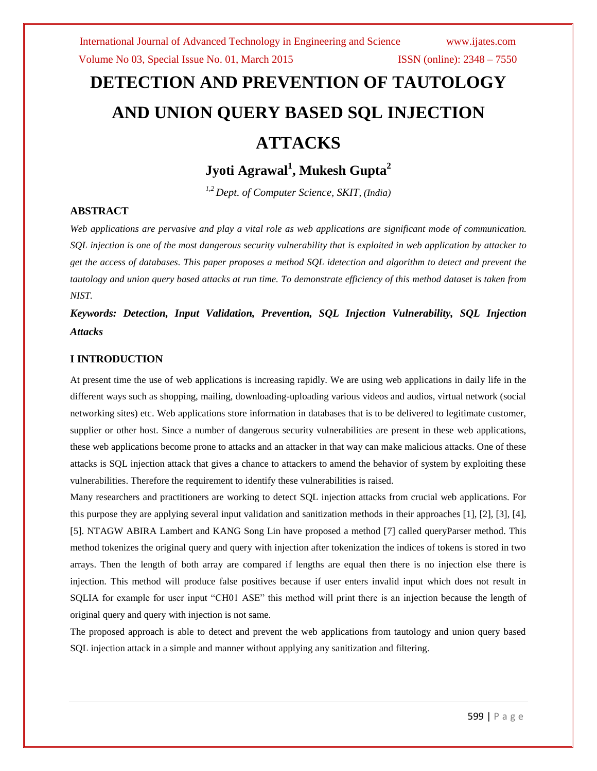# **DETECTION AND PREVENTION OF TAUTOLOGY AND UNION QUERY BASED SQL INJECTION ATTACKS**

**Jyoti Agrawal<sup>1</sup> , Mukesh Gupta<sup>2</sup>**

*1,2 Dept. of Computer Science, SKIT, (India)*

## **ABSTRACT**

*Web applications are pervasive and play a vital role as web applications are significant mode of communication. SQL injection is one of the most dangerous security vulnerability that is exploited in web application by attacker to get the access of databases. This paper proposes a method SQL idetection and algorithm to detect and prevent the tautology and union query based attacks at run time. To demonstrate efficiency of this method dataset is taken from NIST.*

*Keywords: Detection, Input Validation, Prevention, SQL Injection Vulnerability, SQL Injection Attacks* 

## **I INTRODUCTION**

At present time the use of web applications is increasing rapidly. We are using web applications in daily life in the different ways such as shopping, mailing, downloading-uploading various videos and audios, virtual network (social networking sites) etc. Web applications store information in databases that is to be delivered to legitimate customer, supplier or other host. Since a number of dangerous security vulnerabilities are present in these web applications, these web applications become prone to attacks and an attacker in that way can make malicious attacks. One of these attacks is SQL injection attack that gives a chance to attackers to amend the behavior of system by exploiting these vulnerabilities. Therefore the requirement to identify these vulnerabilities is raised.

Many researchers and practitioners are working to detect SQL injection attacks from crucial web applications. For this purpose they are applying several input validation and sanitization methods in their approaches [1], [2], [3], [4], [5]. NTAGW ABIRA Lambert and KANG Song Lin have proposed a method [7] called queryParser method. This method tokenizes the original query and query with injection after tokenization the indices of tokens is stored in two arrays. Then the length of both array are compared if lengths are equal then there is no injection else there is injection. This method will produce false positives because if user enters invalid input which does not result in SQLIA for example for user input "CH01 ASE" this method will print there is an injection because the length of original query and query with injection is not same.

The proposed approach is able to detect and prevent the web applications from tautology and union query based SQL injection attack in a simple and manner without applying any sanitization and filtering.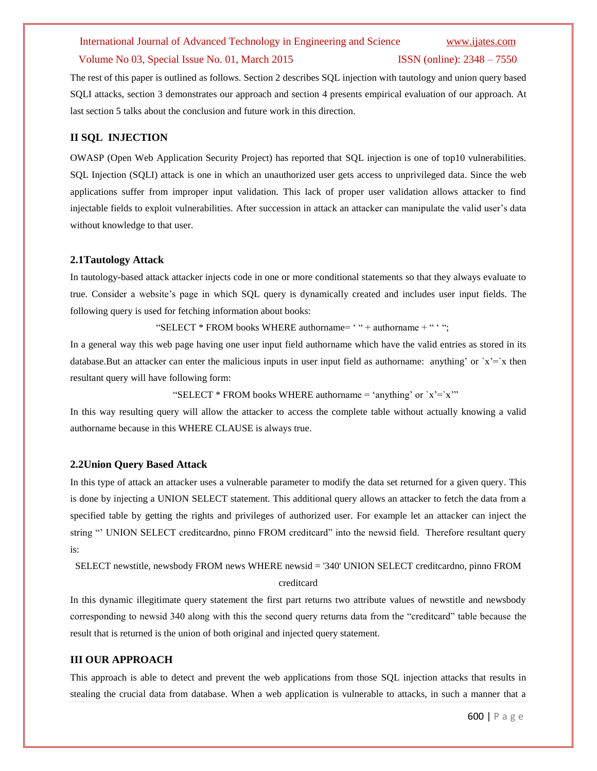#### Volume No 03, Special Issue No. 01, March 2015 ISSN (online): 2348 – 7550

The rest of this paper is outlined as follows. Section 2 describes SQL injection with tautology and union query based SQLI attacks, section 3 demonstrates our approach and section 4 presents empirical evaluation of our approach. At last section 5 talks about the conclusion and future work in this direction.

#### **II SQL INJECTION**

OWASP (Open Web Application Security Project) has reported that SQL injection is one of top10 vulnerabilities. SQL Injection (SQLI) attack is one in which an unauthorized user gets access to unprivileged data. Since the web applications suffer from improper input validation. This lack of proper user validation allows attacker to find injectable fields to exploit vulnerabilities. After succession in attack an attacker can manipulate the valid user's data without knowledge to that user.

#### **2.1Tautology Attack**

In tautology-based attack attacker injects code in one or more conditional statements so that they always evaluate to true. Consider a website"s page in which SQL query is dynamically created and includes user input fields. The following query is used for fetching information about books:

"SELECT  $*$  FROM books WHERE authorname=  $*$  " + authorname + "  $*$ ";

In a general way this web page having one user input field authorname which have the valid entries as stored in its database.But an attacker can enter the malicious inputs in user input field as authorname: anything' or  $x' = x$  then resultant query will have following form:

```
"SELECT * FROM books WHERE authorname = 'anything' or x' = x''"
```
In this way resulting query will allow the attacker to access the complete table without actually knowing a valid authorname because in this WHERE CLAUSE is always true.

#### **2.2Union Query Based Attack**

In this type of attack an attacker uses a vulnerable parameter to modify the data set returned for a given query. This is done by injecting a UNION SELECT statement. This additional query allows an attacker to fetch the data from a specified table by getting the rights and privileges of authorized user. For example let an attacker can inject the string "" UNION SELECT creditcardno, pinno FROM creditcard" into the newsid field. Therefore resultant query is:

SELECT newstitle, newsbody FROM news WHERE newsid = '340' UNION SELECT creditcardno, pinno FROM

#### creditcard

In this dynamic illegitimate query statement the first part returns two attribute values of newstitle and newsbody corresponding to newsid 340 along with this the second query returns data from the "creditcard" table because the result that is returned is the union of both original and injected query statement.

### **III OUR APPROACH**

This approach is able to detect and prevent the web applications from those SQL injection attacks that results in stealing the crucial data from database. When a web application is vulnerable to attacks, in such a manner that a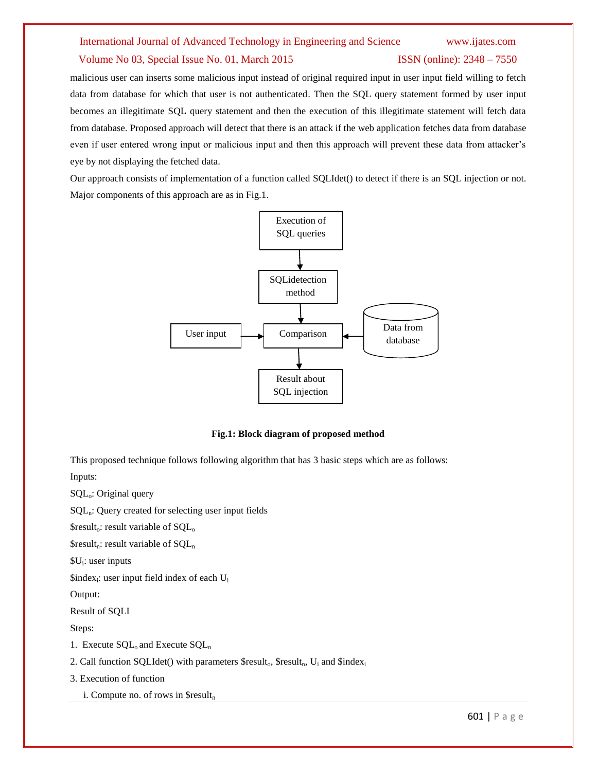#### Volume No 03, Special Issue No. 01, March 2015 ISSN (online): 2348 – 7550

malicious user can inserts some malicious input instead of original required input in user input field willing to fetch data from database for which that user is not authenticated. Then the SQL query statement formed by user input becomes an illegitimate SQL query statement and then the execution of this illegitimate statement will fetch data from database. Proposed approach will detect that there is an attack if the web application fetches data from database even if user entered wrong input or malicious input and then this approach will prevent these data from attacker's eye by not displaying the fetched data.

Our approach consists of implementation of a function called SQLIdet() to detect if there is an SQL injection or not. Major components of this approach are as in Fig.1.



#### **Fig.1: Block diagram of proposed method**

This proposed technique follows following algorithm that has 3 basic steps which are as follows: Inputs:

SQLo: Original query  $SQL<sub>n</sub>$ : Query created for selecting user input fields  $S$ result<sub>o</sub>: result variable of  $SOL<sub>o</sub>$  $\text{S}$ result<sub>n</sub>: result variable of  $SQL_n$ \$U<sup>i</sup> : user inputs  $$index_i:$  user input field index of each  $U_i$ Output: Result of SQLI Steps: 1. Execute  $SQL_0$  and Execute  $SQL_n$ 

2. Call function SQLIdet() with parameters  $\text{S}result_0$ ,  $\text{S}result_n$ ,  $U_i$  and  $\text{Sindex}_i$ 

3. Execution of function

i. Compute no. of rows in  $\frac{1}{n}$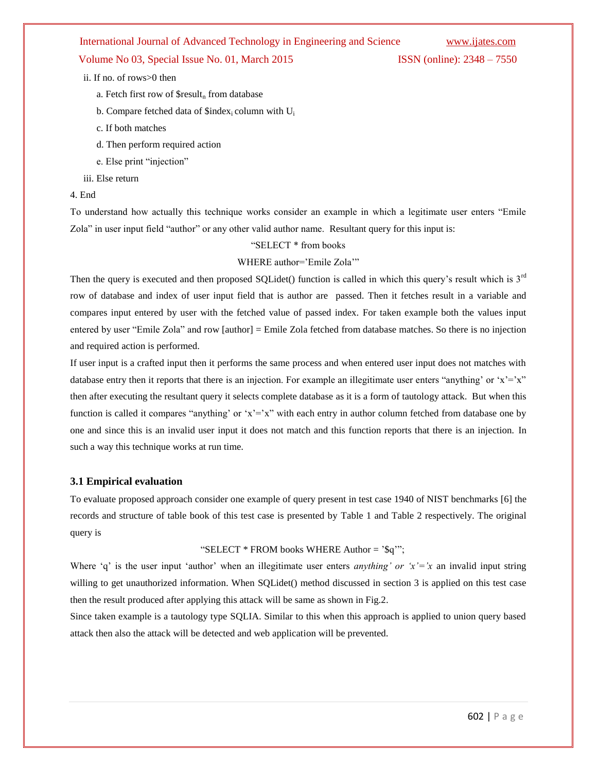## Volume No 03, Special Issue No. 01, March 2015 **ISSN** (online): 2348 – 7550

ii. If no. of rows>0 then

- a. Fetch first row of  $\text{S}$ result<sub>n</sub> from database
- b. Compare fetched data of \$index<sub>i</sub> column with U<sub>i</sub>
- c. If both matches
- d. Then perform required action
- e. Else print "injection"
- iii. Else return

#### 4. End

To understand how actually this technique works consider an example in which a legitimate user enters "Emile Zola" in user input field "author" or any other valid author name. Resultant query for this input is:

### "SELECT \* from books

#### WHERE author='Emile Zola'"

Then the query is executed and then proposed SQLidet() function is called in which this query's result which is  $3<sup>rd</sup>$ row of database and index of user input field that is author are passed. Then it fetches result in a variable and compares input entered by user with the fetched value of passed index. For taken example both the values input entered by user "Emile Zola" and row [author] = Emile Zola fetched from database matches. So there is no injection and required action is performed.

If user input is a crafted input then it performs the same process and when entered user input does not matches with database entry then it reports that there is an injection. For example an illegitimate user enters "anything" or  $x' = x''$ then after executing the resultant query it selects complete database as it is a form of tautology attack. But when this function is called it compares "anything" or " $x = x$ " with each entry in author column fetched from database one by one and since this is an invalid user input it does not match and this function reports that there is an injection. In such a way this technique works at run time.

#### **3.1 Empirical evaluation**

To evaluate proposed approach consider one example of query present in test case 1940 of NIST benchmarks [6] the records and structure of table book of this test case is presented by Table 1 and Table 2 respectively. The original query is

#### "SELECT \* FROM books WHERE Author = "\$q"";

Where 'q' is the user input 'author' when an illegitimate user enters *anything' or 'x'*='x an invalid input string willing to get unauthorized information. When SQLidet() method discussed in section 3 is applied on this test case then the result produced after applying this attack will be same as shown in Fig.2.

Since taken example is a tautology type SQLIA. Similar to this when this approach is applied to union query based attack then also the attack will be detected and web application will be prevented.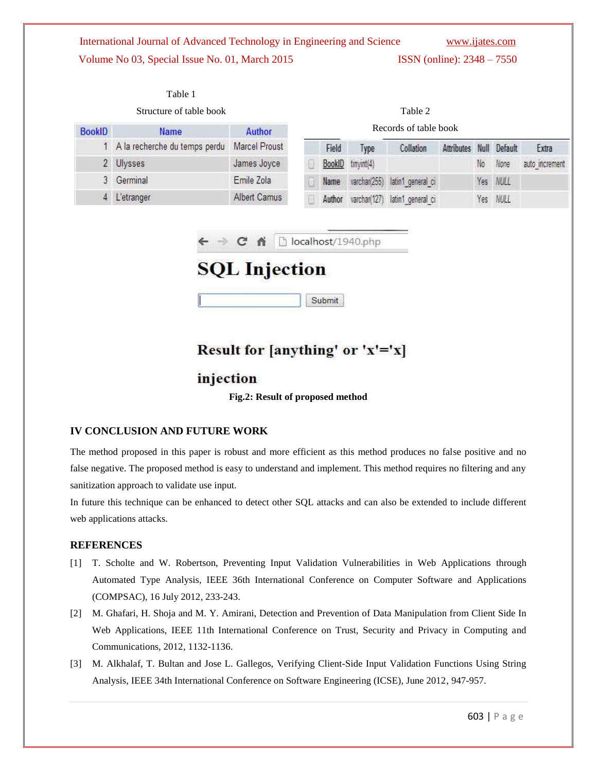| International Journal of Advanced Technology in Engineering and Science | www.ijates.com                      |
|-------------------------------------------------------------------------|-------------------------------------|
| Volume No 03, Special Issue No. 01, March 2015                          | <b>ISSN</b> (online): $2348 - 7550$ |

| Structure of table book |                                              |                      |                       |        |              | Table 2                        |            |    |              |                |
|-------------------------|----------------------------------------------|----------------------|-----------------------|--------|--------------|--------------------------------|------------|----|--------------|----------------|
| <b>BookID</b>           | <b>Name</b><br>A la recherche du temps perdu | Author               | Records of table book |        |              |                                |            |    |              |                |
|                         |                                              | <b>Marcel Proust</b> |                       | Field  | Type         | Collation                      | Attributes |    | Null Default | Extra          |
|                         | Ulysses                                      | James Joyce          |                       | BookID | tinyint(4)   |                                |            | No | None         | auto increment |
|                         | Germinal                                     | Emile Zola           |                       | Name   |              | varchar(255) latin1 general ci |            |    | Yes NULL     |                |
|                         | 4 L'etranger                                 | Albert Camus         |                       | Author | varchan(127) | latin1 general ci              |            |    | Yes NULL     |                |

 $\leftarrow$   $\rightarrow$  **C**  $\land$  **D** localhost/1940.php

# **SQL** Injection

Submit

# Result for [anything' or 'x'='x]

# injection

**Fig.2: Result of proposed method**

# **IV CONCLUSION AND FUTURE WORK**

The method proposed in this paper is robust and more efficient as this method produces no false positive and no false negative. The proposed method is easy to understand and implement. This method requires no filtering and any sanitization approach to validate use input.

In future this technique can be enhanced to detect other SQL attacks and can also be extended to include different web applications attacks.

# **REFERENCES**

- [1] T. Scholte and W. Robertson, Preventing Input Validation Vulnerabilities in Web Applications through Automated Type Analysis, IEEE 36th International Conference on Computer Software and Applications (COMPSAC), 16 July 2012, 233-243.
- [2] M. Ghafari, H. Shoja and M. Y. Amirani, Detection and Prevention of Data Manipulation from Client Side In Web Applications, IEEE 11th International Conference on Trust, Security and Privacy in Computing and Communications, 2012, 1132-1136.
- [3] M. Alkhalaf, T. Bultan and Jose L. Gallegos, Verifying Client-Side Input Validation Functions Using String Analysis, IEEE 34th International Conference on Software Engineering (ICSE), June 2012, 947-957.